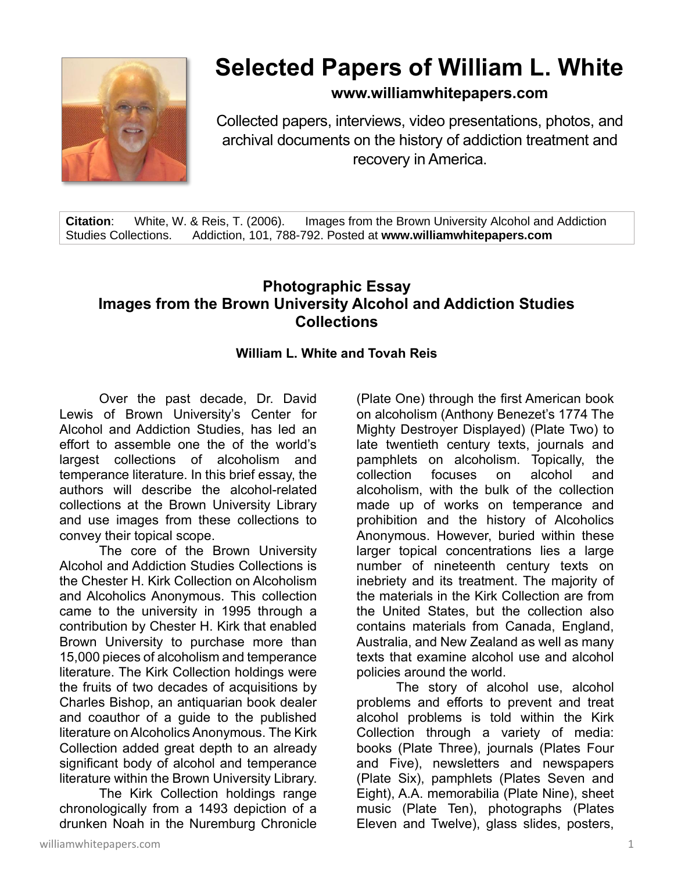

## **Selected Papers of William L. White**

**www.williamwhitepapers.com**

Collected papers, interviews, video presentations, photos, and archival documents on the history of addiction treatment and recovery in America.

**Citation**: White, W. & Reis, T. (2006). Images from the Brown University Alcohol and Addiction Studies Collections. Addiction, 101, 788-792. Posted at **www.williamwhitepapers.com**

## **Photographic Essay Images from the Brown University Alcohol and Addiction Studies Collections**

## **William L. White and Tovah Reis**

Over the past decade, Dr. David Lewis of Brown University's Center for Alcohol and Addiction Studies, has led an effort to assemble one the of the world's largest collections of alcoholism and temperance literature. In this brief essay, the authors will describe the alcohol-related collections at the Brown University Library and use images from these collections to convey their topical scope.

The core of the Brown University Alcohol and Addiction Studies Collections is the Chester H. Kirk Collection on Alcoholism and Alcoholics Anonymous. This collection came to the university in 1995 through a contribution by Chester H. Kirk that enabled Brown University to purchase more than 15,000 pieces of alcoholism and temperance literature. The Kirk Collection holdings were the fruits of two decades of acquisitions by Charles Bishop, an antiquarian book dealer and coauthor of a guide to the published literature on Alcoholics Anonymous. The Kirk Collection added great depth to an already significant body of alcohol and temperance literature within the Brown University Library.

The Kirk Collection holdings range chronologically from a 1493 depiction of a drunken Noah in the Nuremburg Chronicle

(Plate One) through the first American book on alcoholism (Anthony Benezet's 1774 The Mighty Destroyer Displayed) (Plate Two) to late twentieth century texts, journals and pamphlets on alcoholism. Topically, the collection focuses on alcohol and alcoholism, with the bulk of the collection made up of works on temperance and prohibition and the history of Alcoholics Anonymous. However, buried within these larger topical concentrations lies a large number of nineteenth century texts on inebriety and its treatment. The majority of the materials in the Kirk Collection are from the United States, but the collection also contains materials from Canada, England, Australia, and New Zealand as well as many texts that examine alcohol use and alcohol policies around the world.

The story of alcohol use, alcohol problems and efforts to prevent and treat alcohol problems is told within the Kirk Collection through a variety of media: books (Plate Three), journals (Plates Four and Five), newsletters and newspapers (Plate Six), pamphlets (Plates Seven and Eight), A.A. memorabilia (Plate Nine), sheet music (Plate Ten), photographs (Plates Eleven and Twelve), glass slides, posters,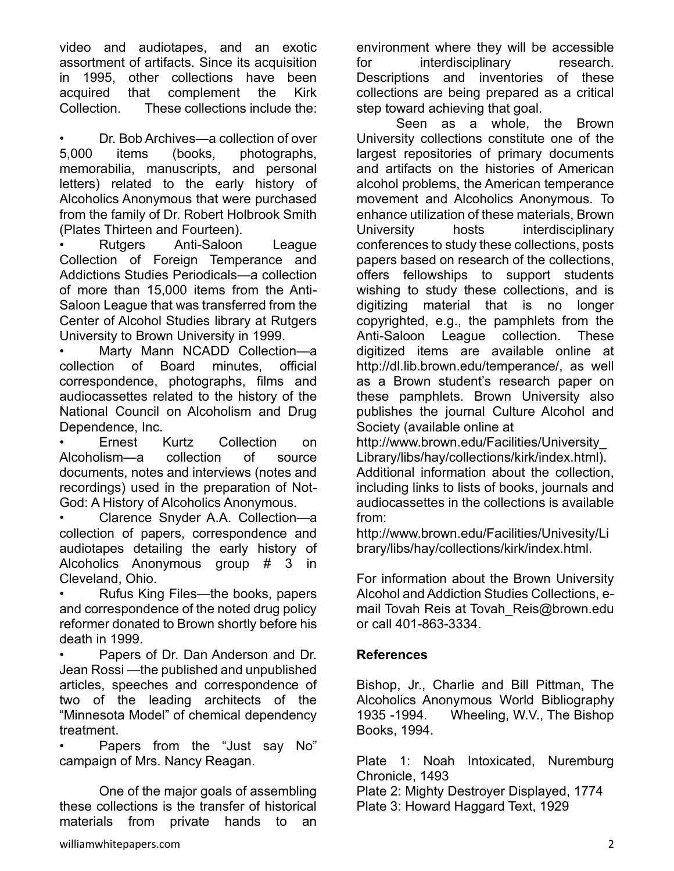video and audiotapes, and an exotic assortment of artifacts. Since its acquisition in 1995, other collections have been acquired that complement the Kirk Collection. These collections include the:

Dr. Bob Archives—a collection of over 5,000 items (books, photographs, memorabilia, manuscripts, and personal letters) related to the early history of Alcoholics Anonymous that were purchased from the family of Dr. Robert Holbrook Smith (Plates Thirteen and Fourteen).

• Rutgers Anti-Saloon League Collection of Foreign Temperance and Addictions Studies Periodicals—a collection of more than 15,000 items from the Anti-Saloon League that was transferred from the Center of Alcohol Studies library at Rutgers University to Brown University in 1999.

• Marty Mann NCADD Collection—a collection of Board minutes, official correspondence, photographs, films and audiocassettes related to the history of the National Council on Alcoholism and Drug Dependence, Inc.

• Ernest Kurtz Collection on Alcoholism—a collection of source documents, notes and interviews (notes and recordings) used in the preparation of Not-God: A History of Alcoholics Anonymous.

• Clarence Snyder A.A. Collection—a collection of papers, correspondence and audiotapes detailing the early history of Alcoholics Anonymous group # 3 in Cleveland, Ohio.

• Rufus King Files—the books, papers and correspondence of the noted drug policy reformer donated to Brown shortly before his death in 1999.

• Papers of Dr. Dan Anderson and Dr. Jean Rossi —the published and unpublished articles, speeches and correspondence of two of the leading architects of the "Minnesota Model" of chemical dependency treatment.

• Papers from the "Just say No" campaign of Mrs. Nancy Reagan.

One of the major goals of assembling these collections is the transfer of historical materials from private hands to an

environment where they will be accessible for interdisciplinary research. Descriptions and inventories of these collections are being prepared as a critical step toward achieving that goal.

Seen as a whole, the Brown University collections constitute one of the largest repositories of primary documents and artifacts on the histories of American alcohol problems, the American temperance movement and Alcoholics Anonymous. To enhance utilization of these materials, Brown University hosts interdisciplinary conferences to study these collections, posts papers based on research of the collections, offers fellowships to support students wishing to study these collections, and is digitizing material that is no longer copyrighted, e.g., the pamphlets from the Anti-Saloon League collection. These digitized items are available online at http://dl.lib.brown.edu/temperance/, as well as a Brown student's research paper on these pamphlets. Brown University also publishes the journal Culture Alcohol and Society (available online at

http://www.brown.edu/Facilities/University\_ Library/libs/hay/collections/kirk/index.html). Additional information about the collection, including links to lists of books, journals and audiocassettes in the collections is available from:

http://www.brown.edu/Facilities/Univesity/Li brary/libs/hay/collections/kirk/index.html.

For information about the Brown University Alcohol and Addiction Studies Collections, email Tovah Reis at Tovah\_Reis@brown.edu or call 401-863-3334.

## **References**

Bishop, Jr., Charlie and Bill Pittman, The Alcoholics Anonymous World Bibliography 1935 -1994. Wheeling, W.V., The Bishop Books, 1994.

Plate 1: Noah Intoxicated, Nuremburg Chronicle, 1493

Plate 2: Mighty Destroyer Displayed, 1774 Plate 3: Howard Haggard Text, 1929